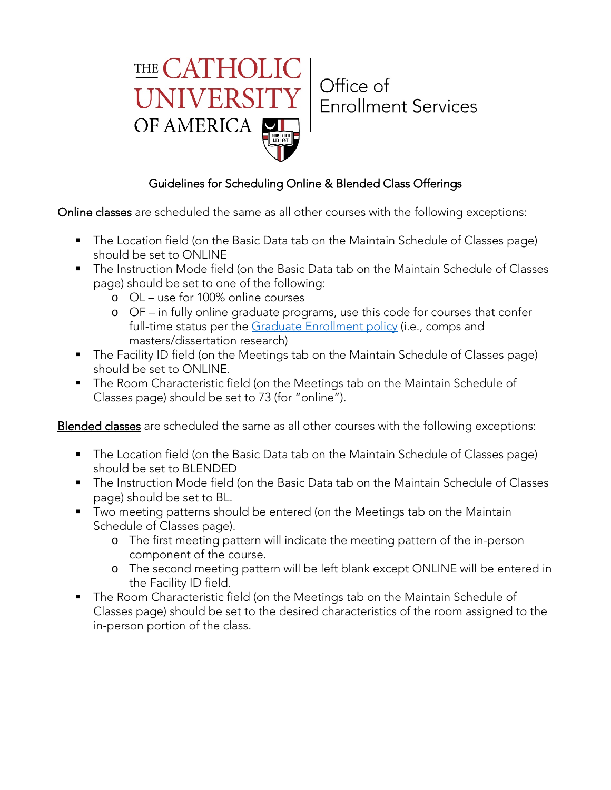

Office of **Enrollment Services** 

## Guidelines for Scheduling Online & Blended Class Offerings

Online classes are scheduled the same as all other courses with the following exceptions:

- The Location field (on the Basic Data tab on the Maintain Schedule of Classes page) should be set to ONLINE
- The Instruction Mode field (on the Basic Data tab on the Maintain Schedule of Classes page) should be set to one of the following:
	- o OL use for 100% online courses
	- o OF in fully online graduate programs, use this code for courses that confer full-time status per the [Graduate Enrollment policy](http://policies.cua.edu/academicgrad/enrollgradfull2.cfm) (i.e., comps and masters/dissertation research)
- The Facility ID field (on the Meetings tab on the Maintain Schedule of Classes page) should be set to ONLINE.
- The Room Characteristic field (on the Meetings tab on the Maintain Schedule of Classes page) should be set to 73 (for "online").

Blended classes are scheduled the same as all other courses with the following exceptions:

- The Location field (on the Basic Data tab on the Maintain Schedule of Classes page) should be set to BLENDED
- The Instruction Mode field (on the Basic Data tab on the Maintain Schedule of Classes page) should be set to BL.
- $\blacksquare$  Two meeting patterns should be entered (on the Meetings tab on the Maintain Schedule of Classes page).
	- o The first meeting pattern will indicate the meeting pattern of the in-person component of the course.
	- o The second meeting pattern will be left blank except ONLINE will be entered in the Facility ID field.
- The Room Characteristic field (on the Meetings tab on the Maintain Schedule of Classes page) should be set to the desired characteristics of the room assigned to the in-person portion of the class.